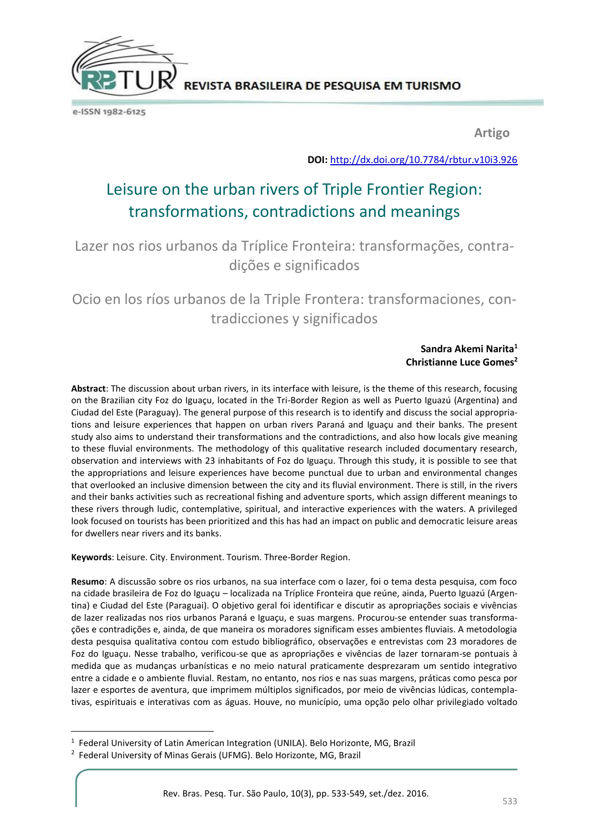

e-ISSN 1982-6125

**Artigo**

**DOI:** <http://dx.doi.org/10.7784/rbtur.v10i3.926>

# Leisure on the urban rivers of Triple Frontier Region: transformations, contradictions and meanings

Lazer nos rios urbanos da Tríplice Fronteira: transformações, contradições e significados

## Ocio en los ríos urbanos de la Triple Frontera: transformaciones, contradicciones y significados

#### **Sandra Akemi Narita<sup>1</sup> Christianne Luce Gomes<sup>2</sup>**

**Abstract**: The discussion about urban rivers, in its interface with leisure, is the theme of this research, focusing on the Brazilian city Foz do Iguaçu, located in the Tri-Border Region as well as Puerto Iguazú (Argentina) and Ciudad del Este (Paraguay). The general purpose of this research is to identify and discuss the social appropriations and leisure experiences that happen on urban rivers Paraná and Iguaçu and their banks. The present study also aims to understand their transformations and the contradictions, and also how locals give meaning to these fluvial environments. The methodology of this qualitative research included documentary research, observation and interviews with 23 inhabitants of Foz do Iguaçu. Through this study, it is possible to see that the appropriations and leisure experiences have become punctual due to urban and environmental changes that overlooked an inclusive dimension between the city and its fluvial environment. There is still, in the rivers and their banks activities such as recreational fishing and adventure sports, which assign different meanings to these rivers through ludic, contemplative, spiritual, and interactive experiences with the waters. A privileged look focused on tourists has been prioritized and this has had an impact on public and democratic leisure areas for dwellers near rivers and its banks.

**Keywords**: Leisure. City. Environment. Tourism. Three-Border Region.

**Resumo**: A discussão sobre os rios urbanos, na sua interface com o lazer, foi o tema desta pesquisa, com foco na cidade brasileira de Foz do Iguaçu – localizada na Tríplice Fronteira que reúne, ainda, Puerto Iguazú (Argentina) e Ciudad del Este (Paraguai). O objetivo geral foi identificar e discutir as apropriações sociais e vivências de lazer realizadas nos rios urbanos Paraná e Iguaçu, e suas margens. Procurou-se entender suas transformações e contradições e, ainda, de que maneira os moradores significam esses ambientes fluviais. A metodologia desta pesquisa qualitativa contou com estudo bibliográfico, observações e entrevistas com 23 moradores de Foz do Iguaçu. Nesse trabalho, verificou-se que as apropriações e vivências de lazer tornaram-se pontuais à medida que as mudanças urbanísticas e no meio natural praticamente desprezaram um sentido integrativo entre a cidade e o ambiente fluvial. Restam, no entanto, nos rios e nas suas margens, práticas como pesca por lazer e esportes de aventura, que imprimem múltiplos significados, por meio de vivências lúdicas, contemplativas, espirituais e interativas com as águas. Houve, no município, uma opção pelo olhar privilegiado voltado

1

<sup>&</sup>lt;sup>1</sup> Federal University of Latin American Integration (UNILA). Belo Horizonte, MG, Brazil

<sup>&</sup>lt;sup>2</sup> Federal University of Minas Gerais (UFMG). Belo Horizonte, MG, Brazil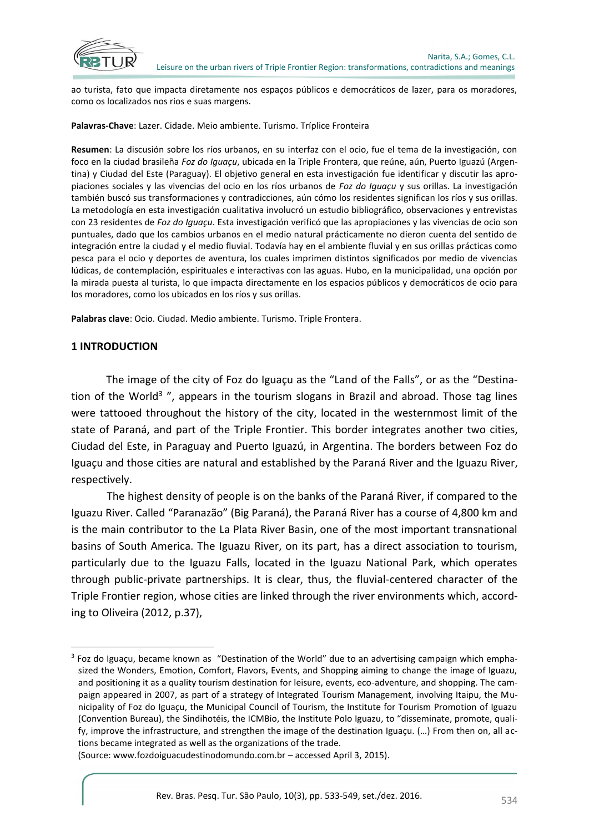

ao turista, fato que impacta diretamente nos espaços públicos e democráticos de lazer, para os moradores, como os localizados nos rios e suas margens.

**Palavras-Chave**: Lazer. Cidade. Meio ambiente. Turismo. Tríplice Fronteira

**Resumen**: La discusión sobre los ríos urbanos, en su interfaz con el ocio, fue el tema de la investigación, con foco en la ciudad brasileña *Foz do Iguaçu*, ubicada en la Triple Frontera, que reúne, aún, Puerto Iguazú (Argentina) y Ciudad del Este (Paraguay). El objetivo general en esta investigación fue identificar y discutir las apropiaciones sociales y las vivencias del ocio en los ríos urbanos de *Foz do Iguaçu* y sus orillas. La investigación también buscó sus transformaciones y contradicciones, aún cómo los residentes significan los ríos y sus orillas. La metodología en esta investigación cualitativa involucró un estudio bibliográfico, observaciones y entrevistas con 23 residentes de *Foz do Iguaçu*. Esta investigación verificó que las apropiaciones y las vivencias de ocio son puntuales, dado que los cambios urbanos en el medio natural prácticamente no dieron cuenta del sentido de integración entre la ciudad y el medio fluvial. Todavía hay en el ambiente fluvial y en sus orillas prácticas como pesca para el ocio y deportes de aventura, los cuales imprimen distintos significados por medio de vivencias lúdicas, de contemplación, espirituales e interactivas con las aguas. Hubo, en la municipalidad, una opción por la mirada puesta al turista, lo que impacta directamente en los espacios públicos y democráticos de ocio para los moradores, como los ubicados en los ríos y sus orillas.

**Palabras clave**: Ocio. Ciudad. Medio ambiente. Turismo. Triple Frontera.

#### **1 INTRODUCTION**

 $\overline{a}$ 

The image of the city of Foz do Iguaçu as the "Land of the Falls", or as the "Destination of the World<sup>3</sup> ", appears in the tourism slogans in Brazil and abroad. Those tag lines were tattooed throughout the history of the city, located in the westernmost limit of the state of Paraná, and part of the Triple Frontier. This border integrates another two cities, Ciudad del Este, in Paraguay and Puerto Iguazú, in Argentina. The borders between Foz do Iguaçu and those cities are natural and established by the Paraná River and the Iguazu River, respectively.

The highest density of people is on the banks of the Paraná River, if compared to the Iguazu River. Called "Paranazão" (Big Paraná), the Paraná River has a course of 4,800 km and is the main contributor to the La Plata River Basin, one of the most important transnational basins of South America. The Iguazu River, on its part, has a direct association to tourism, particularly due to the Iguazu Falls, located in the Iguazu National Park, which operates through public-private partnerships. It is clear, thus, the fluvial-centered character of the Triple Frontier region, whose cities are linked through the river environments which, according to Oliveira (2012, p.37),

(Source: www.fozdoiguacudestinodomundo.com.br – accessed April 3, 2015).

<sup>&</sup>lt;sup>3</sup> Foz do Iguaçu, became known as "Destination of the World" due to an advertising campaign which emphasized the Wonders, Emotion, Comfort, Flavors, Events, and Shopping aiming to change the image of Iguazu, and positioning it as a quality tourism destination for leisure, events, eco-adventure, and shopping. The campaign appeared in 2007, as part of a strategy of Integrated Tourism Management, involving Itaipu, the Municipality of Foz do Iguaçu, the Municipal Council of Tourism, the Institute for Tourism Promotion of Iguazu (Convention Bureau), the Sindihotéis, the ICMBio, the Institute Polo Iguazu, to "disseminate, promote, qualify, improve the infrastructure, and strengthen the image of the destination Iguaçu. (…) From then on, all actions became integrated as well as the organizations of the trade.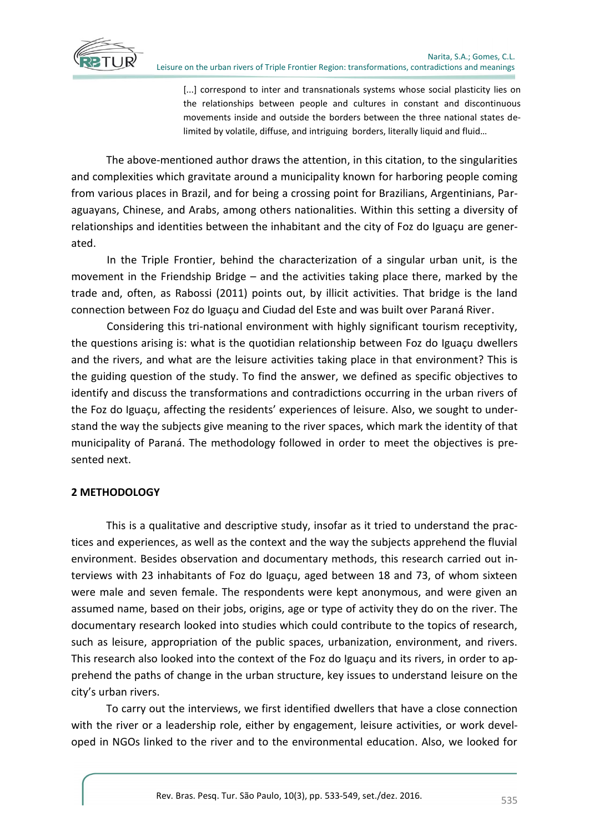

[...] correspond to inter and transnationals systems whose social plasticity lies on the relationships between people and cultures in constant and discontinuous movements inside and outside the borders between the three national states delimited by volatile, diffuse, and intriguing borders, literally liquid and fluid…

The above-mentioned author draws the attention, in this citation, to the singularities and complexities which gravitate around a municipality known for harboring people coming from various places in Brazil, and for being a crossing point for Brazilians, Argentinians, Paraguayans, Chinese, and Arabs, among others nationalities. Within this setting a diversity of relationships and identities between the inhabitant and the city of Foz do Iguaçu are generated.

In the Triple Frontier, behind the characterization of a singular urban unit, is the movement in the Friendship Bridge – and the activities taking place there, marked by the trade and, often, as Rabossi (2011) points out, by illicit activities. That bridge is the land connection between Foz do Iguaçu and Ciudad del Este and was built over Paraná River.

Considering this tri-national environment with highly significant tourism receptivity, the questions arising is: what is the quotidian relationship between Foz do Iguaçu dwellers and the rivers, and what are the leisure activities taking place in that environment? This is the guiding question of the study. To find the answer, we defined as specific objectives to identify and discuss the transformations and contradictions occurring in the urban rivers of the Foz do Iguaçu, affecting the residents' experiences of leisure. Also, we sought to understand the way the subjects give meaning to the river spaces, which mark the identity of that municipality of Paraná. The methodology followed in order to meet the objectives is presented next.

## **2 METHODOLOGY**

This is a qualitative and descriptive study, insofar as it tried to understand the practices and experiences, as well as the context and the way the subjects apprehend the fluvial environment. Besides observation and documentary methods, this research carried out interviews with 23 inhabitants of Foz do Iguaçu, aged between 18 and 73, of whom sixteen were male and seven female. The respondents were kept anonymous, and were given an assumed name, based on their jobs, origins, age or type of activity they do on the river. The documentary research looked into studies which could contribute to the topics of research, such as leisure, appropriation of the public spaces, urbanization, environment, and rivers. This research also looked into the context of the Foz do Iguaçu and its rivers, in order to apprehend the paths of change in the urban structure, key issues to understand leisure on the city's urban rivers.

To carry out the interviews, we first identified dwellers that have a close connection with the river or a leadership role, either by engagement, leisure activities, or work developed in NGOs linked to the river and to the environmental education. Also, we looked for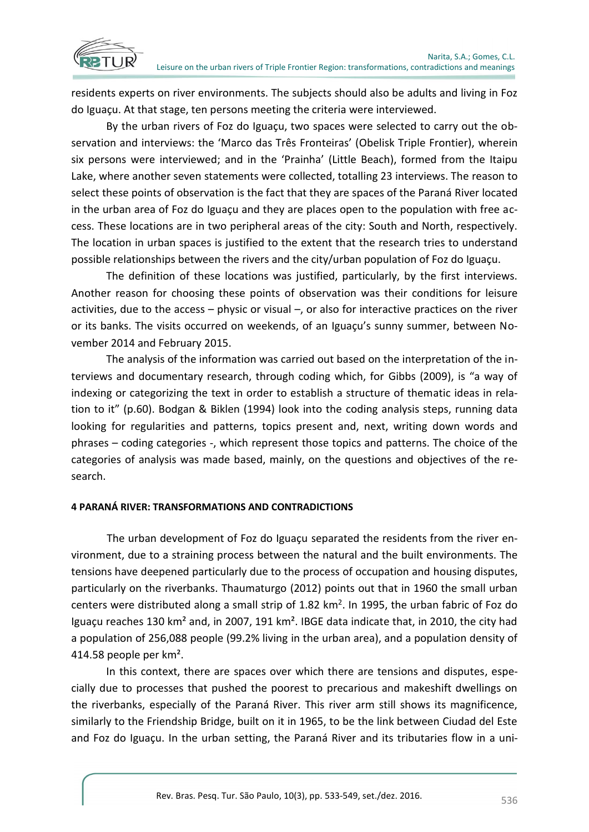



residents experts on river environments. The subjects should also be adults and living in Foz do Iguaçu. At that stage, ten persons meeting the criteria were interviewed.

By the urban rivers of Foz do Iguaçu, two spaces were selected to carry out the observation and interviews: the 'Marco das Três Fronteiras' (Obelisk Triple Frontier), wherein six persons were interviewed; and in the 'Prainha' (Little Beach), formed from the Itaipu Lake, where another seven statements were collected, totalling 23 interviews. The reason to select these points of observation is the fact that they are spaces of the Paraná River located in the urban area of Foz do Iguaçu and they are places open to the population with free access. These locations are in two peripheral areas of the city: South and North, respectively. The location in urban spaces is justified to the extent that the research tries to understand possible relationships between the rivers and the city/urban population of Foz do Iguaçu.

The definition of these locations was justified, particularly, by the first interviews. Another reason for choosing these points of observation was their conditions for leisure activities, due to the access – physic or visual –, or also for interactive practices on the river or its banks. The visits occurred on weekends, of an Iguaçu's sunny summer, between November 2014 and February 2015.

The analysis of the information was carried out based on the interpretation of the interviews and documentary research, through coding which, for Gibbs (2009), is "a way of indexing or categorizing the text in order to establish a structure of thematic ideas in relation to it" (p.60). Bodgan & Biklen (1994) look into the coding analysis steps, running data looking for regularities and patterns, topics present and, next, writing down words and phrases – coding categories -, which represent those topics and patterns. The choice of the categories of analysis was made based, mainly, on the questions and objectives of the research.

### **4 PARANÁ RIVER: TRANSFORMATIONS AND CONTRADICTIONS**

The urban development of Foz do Iguaçu separated the residents from the river environment, due to a straining process between the natural and the built environments. The tensions have deepened particularly due to the process of occupation and housing disputes, particularly on the riverbanks. Thaumaturgo (2012) points out that in 1960 the small urban centers were distributed along a small strip of  $1.82 \text{ km}^2$ . In 1995, the urban fabric of Foz do Iguaçu reaches 130 km² and, in 2007, 191 km². IBGE data indicate that, in 2010, the city had a population of 256,088 people (99.2% living in the urban area), and a population density of 414.58 people per km².

In this context, there are spaces over which there are tensions and disputes, especially due to processes that pushed the poorest to precarious and makeshift dwellings on the riverbanks, especially of the Paraná River. This river arm still shows its magnificence, similarly to the Friendship Bridge, built on it in 1965, to be the link between Ciudad del Este and Foz do Iguaçu. In the urban setting, the Paraná River and its tributaries flow in a uni-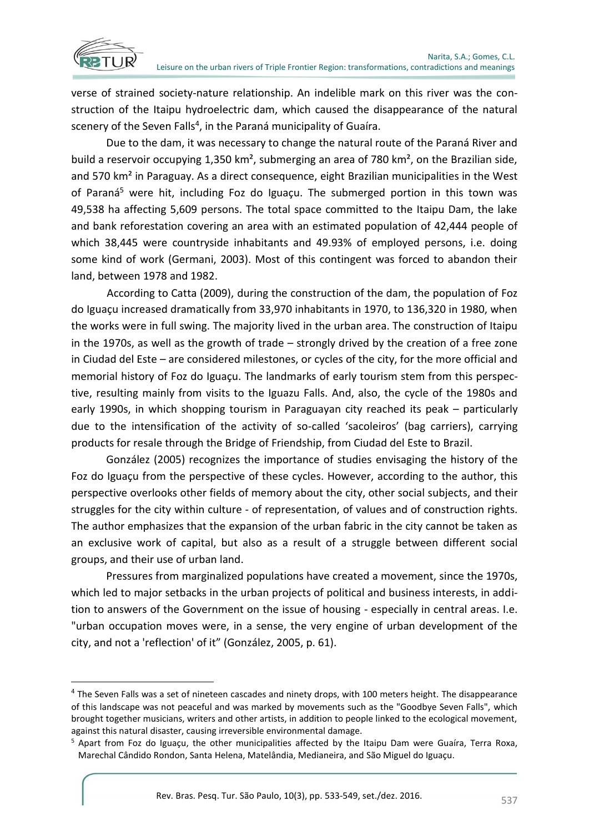

**.** 

verse of strained society-nature relationship. An indelible mark on this river was the construction of the Itaipu hydroelectric dam, which caused the disappearance of the natural scenery of the Seven Falls<sup>4</sup>, in the Paraná municipality of Guaíra.

Due to the dam, it was necessary to change the natural route of the Paraná River and build a reservoir occupying 1,350 km<sup>2</sup>, submerging an area of 780 km<sup>2</sup>, on the Brazilian side, and 570 km² in Paraguay. As a direct consequence, eight Brazilian municipalities in the West of Paraná<sup>5</sup> were hit, including Foz do Iguaçu. The submerged portion in this town was 49,538 ha affecting 5,609 persons. The total space committed to the Itaipu Dam, the lake and bank reforestation covering an area with an estimated population of 42,444 people of which 38,445 were countryside inhabitants and 49.93% of employed persons, i.e. doing some kind of work (Germani, 2003). Most of this contingent was forced to abandon their land, between 1978 and 1982.

According to Catta (2009), during the construction of the dam, the population of Foz do Iguaçu increased dramatically from 33,970 inhabitants in 1970, to 136,320 in 1980, when the works were in full swing. The majority lived in the urban area. The construction of Itaipu in the 1970s, as well as the growth of trade – strongly drived by the creation of a free zone in Ciudad del Este – are considered milestones, or cycles of the city, for the more official and memorial history of Foz do Iguaçu. The landmarks of early tourism stem from this perspective, resulting mainly from visits to the Iguazu Falls. And, also, the cycle of the 1980s and early 1990s, in which shopping tourism in Paraguayan city reached its peak – particularly due to the intensification of the activity of so-called 'sacoleiros' (bag carriers), carrying products for resale through the Bridge of Friendship, from Ciudad del Este to Brazil.

González (2005) recognizes the importance of studies envisaging the history of the Foz do Iguaçu from the perspective of these cycles. However, according to the author, this perspective overlooks other fields of memory about the city, other social subjects, and their struggles for the city within culture - of representation, of values and of construction rights. The author emphasizes that the expansion of the urban fabric in the city cannot be taken as an exclusive work of capital, but also as a result of a struggle between different social groups, and their use of urban land.

Pressures from marginalized populations have created a movement, since the 1970s, which led to major setbacks in the urban projects of political and business interests, in addition to answers of the Government on the issue of housing - especially in central areas. I.e. "urban occupation moves were, in a sense, the very engine of urban development of the city, and not a 'reflection' of it" (González, 2005, p. 61).

<sup>&</sup>lt;sup>4</sup> The Seven Falls was a set of nineteen cascades and ninety drops, with 100 meters height. The disappearance of this landscape was not peaceful and was marked by movements such as the "Goodbye Seven Falls", which brought together musicians, writers and other artists, in addition to people linked to the ecological movement, against this natural disaster, causing irreversible environmental damage.

<sup>5</sup> Apart from Foz do Iguaçu, the other municipalities affected by the Itaipu Dam were Guaíra, Terra Roxa, Marechal Cândido Rondon, Santa Helena, Matelândia, Medianeira, and São Miguel do Iguaçu.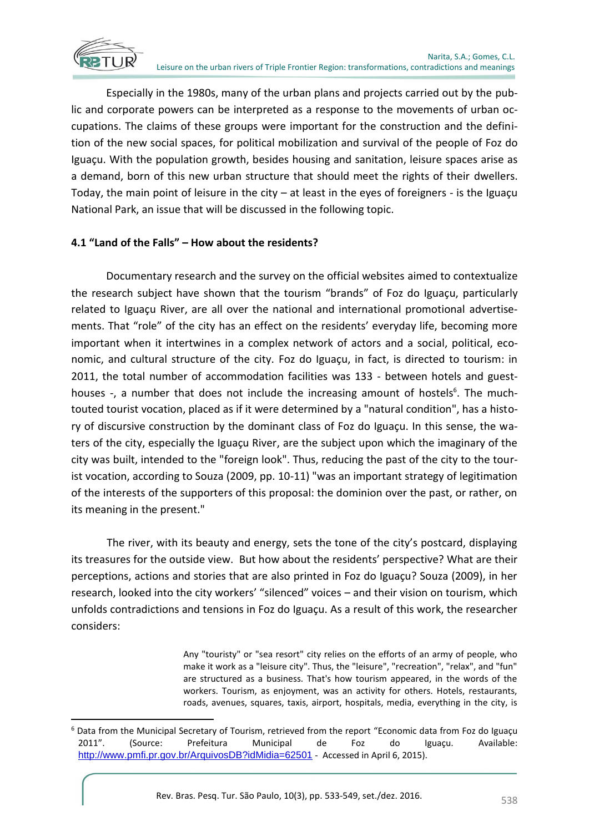

**.** 

Especially in the 1980s, many of the urban plans and projects carried out by the public and corporate powers can be interpreted as a response to the movements of urban occupations. The claims of these groups were important for the construction and the definition of the new social spaces, for political mobilization and survival of the people of Foz do Iguaçu. With the population growth, besides housing and sanitation, leisure spaces arise as a demand, born of this new urban structure that should meet the rights of their dwellers. Today, the main point of leisure in the city  $-$  at least in the eyes of foreigners - is the Iguaçu National Park, an issue that will be discussed in the following topic.

## **4.1 "Land of the Falls" – How about the residents?**

Documentary research and the survey on the official websites aimed to contextualize the research subject have shown that the tourism "brands" of Foz do Iguaçu, particularly related to Iguaçu River, are all over the national and international promotional advertisements. That "role" of the city has an effect on the residents' everyday life, becoming more important when it intertwines in a complex network of actors and a social, political, economic, and cultural structure of the city. Foz do Iguaçu, in fact, is directed to tourism: in 2011, the total number of accommodation facilities was 133 - between hotels and guesthouses -, a number that does not include the increasing amount of hostels<sup>6</sup>. The muchtouted tourist vocation, placed as if it were determined by a "natural condition", has a history of discursive construction by the dominant class of Foz do Iguaçu. In this sense, the waters of the city, especially the Iguaçu River, are the subject upon which the imaginary of the city was built, intended to the "foreign look". Thus, reducing the past of the city to the tourist vocation, according to Souza (2009, pp. 10-11) "was an important strategy of legitimation of the interests of the supporters of this proposal: the dominion over the past, or rather, on its meaning in the present."

The river, with its beauty and energy, sets the tone of the city's postcard, displaying its treasures for the outside view. But how about the residents' perspective? What are their perceptions, actions and stories that are also printed in Foz do Iguaçu? Souza (2009), in her research, looked into the city workers' "silenced" voices – and their vision on tourism, which unfolds contradictions and tensions in Foz do Iguaçu. As a result of this work, the researcher considers:

> Any "touristy" or "sea resort" city relies on the efforts of an army of people, who make it work as a "leisure city". Thus, the "leisure", "recreation", "relax", and "fun" are structured as a business. That's how tourism appeared, in the words of the workers. Tourism, as enjoyment, was an activity for others. Hotels, restaurants, roads, avenues, squares, taxis, airport, hospitals, media, everything in the city, is

<sup>&</sup>lt;sup>6</sup> Data from the Municipal Secretary of Tourism, retrieved from the report "Economic data from Foz do Iguaçu 2011". (Source: Prefeitura Municipal de Foz do Iguaçu. Available: <http://www.pmfi.pr.gov.br/ArquivosDB?idMidia=62501> - Accessed in April 6, 2015).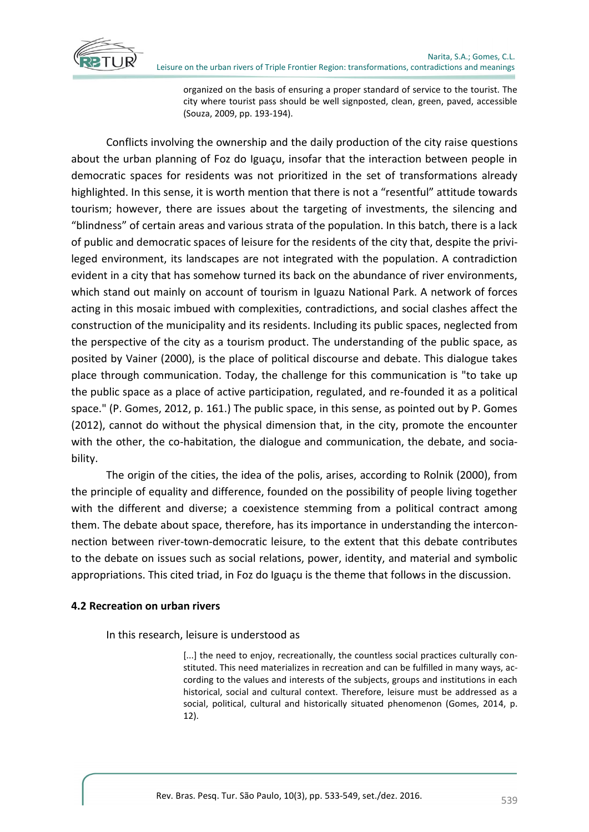

organized on the basis of ensuring a proper standard of service to the tourist. The city where tourist pass should be well signposted, clean, green, paved, accessible (Souza, 2009, pp. 193-194).

Conflicts involving the ownership and the daily production of the city raise questions about the urban planning of Foz do Iguaçu, insofar that the interaction between people in democratic spaces for residents was not prioritized in the set of transformations already highlighted. In this sense, it is worth mention that there is not a "resentful" attitude towards tourism; however, there are issues about the targeting of investments, the silencing and "blindness" of certain areas and various strata of the population. In this batch, there is a lack of public and democratic spaces of leisure for the residents of the city that, despite the privileged environment, its landscapes are not integrated with the population. A contradiction evident in a city that has somehow turned its back on the abundance of river environments, which stand out mainly on account of tourism in Iguazu National Park. A network of forces acting in this mosaic imbued with complexities, contradictions, and social clashes affect the construction of the municipality and its residents. Including its public spaces, neglected from the perspective of the city as a tourism product. The understanding of the public space, as posited by Vainer (2000), is the place of political discourse and debate. This dialogue takes place through communication. Today, the challenge for this communication is "to take up the public space as a place of active participation, regulated, and re-founded it as a political space." (P. Gomes, 2012, p. 161.) The public space, in this sense, as pointed out by P. Gomes (2012), cannot do without the physical dimension that, in the city, promote the encounter with the other, the co-habitation, the dialogue and communication, the debate, and sociability.

The origin of the cities, the idea of the polis, arises, according to Rolnik (2000), from the principle of equality and difference, founded on the possibility of people living together with the different and diverse; a coexistence stemming from a political contract among them. The debate about space, therefore, has its importance in understanding the interconnection between river-town-democratic leisure, to the extent that this debate contributes to the debate on issues such as social relations, power, identity, and material and symbolic appropriations. This cited triad, in Foz do Iguaçu is the theme that follows in the discussion.

### **4.2 Recreation on urban rivers**

In this research, leisure is understood as

[...] the need to enjoy, recreationally, the countless social practices culturally constituted. This need materializes in recreation and can be fulfilled in many ways, according to the values and interests of the subjects, groups and institutions in each historical, social and cultural context. Therefore, leisure must be addressed as a social, political, cultural and historically situated phenomenon (Gomes, 2014, p. 12).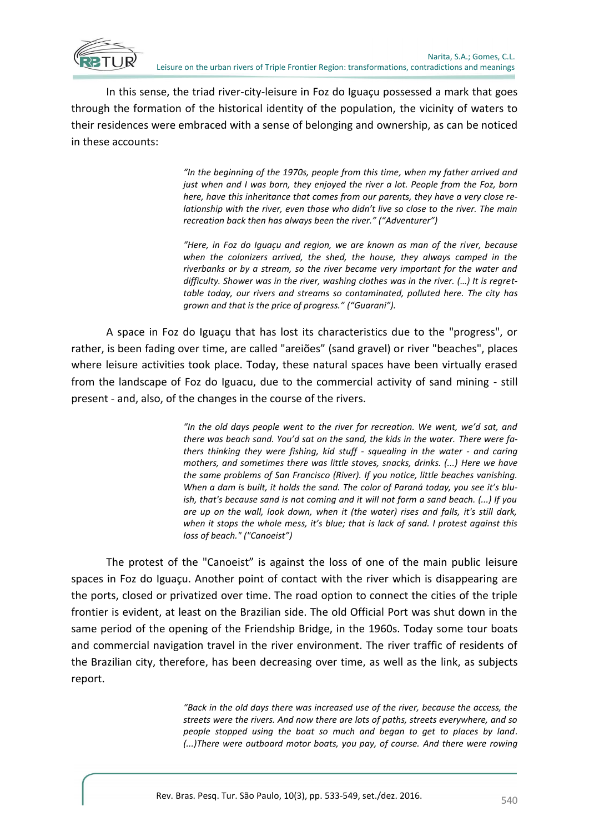

In this sense, the triad river-city-leisure in Foz do Iguaçu possessed a mark that goes through the formation of the historical identity of the population, the vicinity of waters to their residences were embraced with a sense of belonging and ownership, as can be noticed in these accounts:

> *"In the beginning of the 1970s, people from this time, when my father arrived and just when and I was born, they enjoyed the river a lot. People from the Foz, born here, have this inheritance that comes from our parents, they have a very close relationship with the river, even those who didn't live so close to the river. The main recreation back then has always been the river." ("Adventurer")*

> *"Here, in Foz do Iguaçu and region, we are known as man of the river, because when the colonizers arrived, the shed, the house, they always camped in the riverbanks or by a stream, so the river became very important for the water and difficulty. Shower was in the river, washing clothes was in the river. (…) It is regrettable today, our rivers and streams so contaminated, polluted here. The city has grown and that is the price of progress." ("Guarani").*

A space in Foz do Iguaçu that has lost its characteristics due to the "progress", or rather, is been fading over time, are called "areiões" (sand gravel) or river "beaches", places where leisure activities took place. Today, these natural spaces have been virtually erased from the landscape of Foz do Iguacu, due to the commercial activity of sand mining - still present - and, also, of the changes in the course of the rivers.

> *"In the old days people went to the river for recreation. We went, we'd sat, and there was beach sand. You'd sat on the sand, the kids in the water. There were fathers thinking they were fishing, kid stuff - squealing in the water - and caring mothers, and sometimes there was little stoves, snacks, drinks. (...) Here we have the same problems of San Francisco (River). If you notice, little beaches vanishing. When a dam is built, it holds the sand. The color of Paraná today, you see it's bluish, that's because sand is not coming and it will not form a sand beach. (...) If you are up on the wall, look down, when it (the water) rises and falls, it's still dark, when it stops the whole mess, it's blue; that is lack of sand. I protest against this loss of beach." ("Canoeist")*

The protest of the "Canoeist" is against the loss of one of the main public leisure spaces in Foz do Iguaçu. Another point of contact with the river which is disappearing are the ports, closed or privatized over time. The road option to connect the cities of the triple frontier is evident, at least on the Brazilian side. The old Official Port was shut down in the same period of the opening of the Friendship Bridge, in the 1960s. Today some tour boats and commercial navigation travel in the river environment. The river traffic of residents of the Brazilian city, therefore, has been decreasing over time, as well as the link, as subjects report.

> *"Back in the old days there was increased use of the river, because the access, the streets were the rivers. And now there are lots of paths, streets everywhere, and so people stopped using the boat so much and began to get to places by land. (...)There were outboard motor boats, you pay, of course. And there were rowing*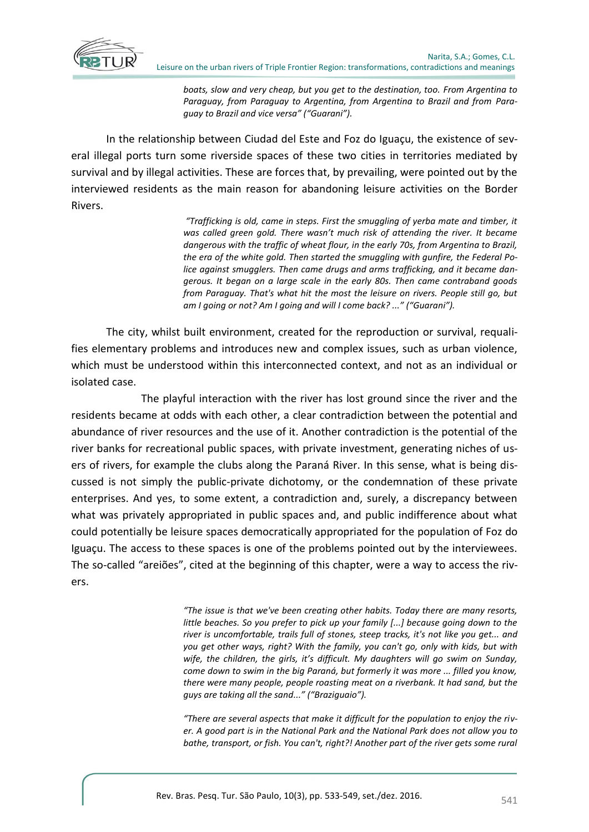

*boats, slow and very cheap, but you get to the destination, too. From Argentina to Paraguay, from Paraguay to Argentina, from Argentina to Brazil and from Paraguay to Brazil and vice versa" ("Guarani").*

In the relationship between Ciudad del Este and Foz do Iguaçu, the existence of several illegal ports turn some riverside spaces of these two cities in territories mediated by survival and by illegal activities. These are forces that, by prevailing, were pointed out by the interviewed residents as the main reason for abandoning leisure activities on the Border Rivers.

> *"Trafficking is old, came in steps. First the smuggling of yerba mate and timber, it was called green gold. There wasn't much risk of attending the river. It became dangerous with the traffic of wheat flour, in the early 70s, from Argentina to Brazil, the era of the white gold. Then started the smuggling with gunfire, the Federal Police against smugglers. Then came drugs and arms trafficking, and it became dangerous. It began on a large scale in the early 80s. Then came contraband goods from Paraguay. That's what hit the most the leisure on rivers. People still go, but am I going or not? Am I going and will I come back? ..." ("Guarani").*

The city, whilst built environment, created for the reproduction or survival, requalifies elementary problems and introduces new and complex issues, such as urban violence, which must be understood within this interconnected context, and not as an individual or isolated case.

The playful interaction with the river has lost ground since the river and the residents became at odds with each other, a clear contradiction between the potential and abundance of river resources and the use of it. Another contradiction is the potential of the river banks for recreational public spaces, with private investment, generating niches of users of rivers, for example the clubs along the Paraná River. In this sense, what is being discussed is not simply the public-private dichotomy, or the condemnation of these private enterprises. And yes, to some extent, a contradiction and, surely, a discrepancy between what was privately appropriated in public spaces and, and public indifference about what could potentially be leisure spaces democratically appropriated for the population of Foz do Iguaçu. The access to these spaces is one of the problems pointed out by the interviewees. The so-called "areiões", cited at the beginning of this chapter, were a way to access the rivers.

> *"The issue is that we've been creating other habits. Today there are many resorts, little beaches. So you prefer to pick up your family [...] because going down to the river is uncomfortable, trails full of stones, steep tracks, it's not like you get... and you get other ways, right? With the family, you can't go, only with kids, but with wife, the children, the girls, it's difficult. My daughters will go swim on Sunday, come down to swim in the big Paraná, but formerly it was more ... filled you know, there were many people, people roasting meat on a riverbank. It had sand, but the guys are taking all the sand..." ("Braziguaio").*

> *"There are several aspects that make it difficult for the population to enjoy the river. A good part is in the National Park and the National Park does not allow you to bathe, transport, or fish. You can't, right?! Another part of the river gets some rural*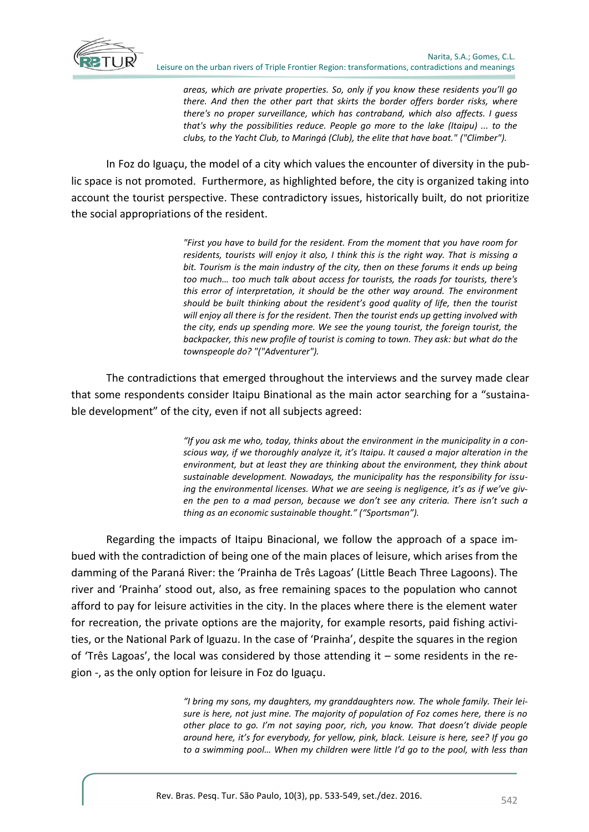

*areas, which are private properties. So, only if you know these residents you'll go there. And then the other part that skirts the border offers border risks, where there's no proper surveillance, which has contraband, which also affects. I guess that's why the possibilities reduce. People go more to the lake (Itaipu) ... to the clubs, to the Yacht Club, to Maringá (Club), the elite that have boat." ("Climber").*

In Foz do Iguaçu, the model of a city which values the encounter of diversity in the public space is not promoted. Furthermore, as highlighted before, the city is organized taking into account the tourist perspective. These contradictory issues, historically built, do not prioritize the social appropriations of the resident.

> *"First you have to build for the resident. From the moment that you have room for residents, tourists will enjoy it also, I think this is the right way. That is missing a bit. Tourism is the main industry of the city, then on these forums it ends up being too much… too much talk about access for tourists, the roads for tourists, there's this error of interpretation, it should be the other way around. The environment should be built thinking about the resident's good quality of life, then the tourist will enjoy all there is for the resident. Then the tourist ends up getting involved with the city, ends up spending more. We see the young tourist, the foreign tourist, the backpacker, this new profile of tourist is coming to town. They ask: but what do the townspeople do? "("Adventurer").*

The contradictions that emerged throughout the interviews and the survey made clear that some respondents consider Itaipu Binational as the main actor searching for a "sustainable development" of the city, even if not all subjects agreed:

> *"If you ask me who, today, thinks about the environment in the municipality in a conscious way, if we thoroughly analyze it, it's Itaipu. It caused a major alteration in the environment, but at least they are thinking about the environment, they think about sustainable development. Nowadays, the municipality has the responsibility for issu*ing the environmental licenses. What we are seeing is negligence, it's as if we've giv*en the pen to a mad person, because we don't see any criteria. There isn't such a thing as an economic sustainable thought." ("Sportsman").*

Regarding the impacts of Itaipu Binacional, we follow the approach of a space imbued with the contradiction of being one of the main places of leisure, which arises from the damming of the Paraná River: the 'Prainha de Três Lagoas' (Little Beach Three Lagoons). The river and 'Prainha' stood out, also, as free remaining spaces to the population who cannot afford to pay for leisure activities in the city. In the places where there is the element water for recreation, the private options are the majority, for example resorts, paid fishing activities, or the National Park of Iguazu. In the case of 'Prainha', despite the squares in the region of 'Três Lagoas', the local was considered by those attending it – some residents in the region -, as the only option for leisure in Foz do Iguaçu.

> *"I bring my sons, my daughters, my granddaughters now. The whole family. Their leisure is here, not just mine. The majority of population of Foz comes here, there is no other place to go. I'm not saying poor, rich, you know. That doesn't divide people around here, it's for everybody, for yellow, pink, black. Leisure is here, see? If you go to a swimming pool… When my children were little I'd go to the pool, with less than*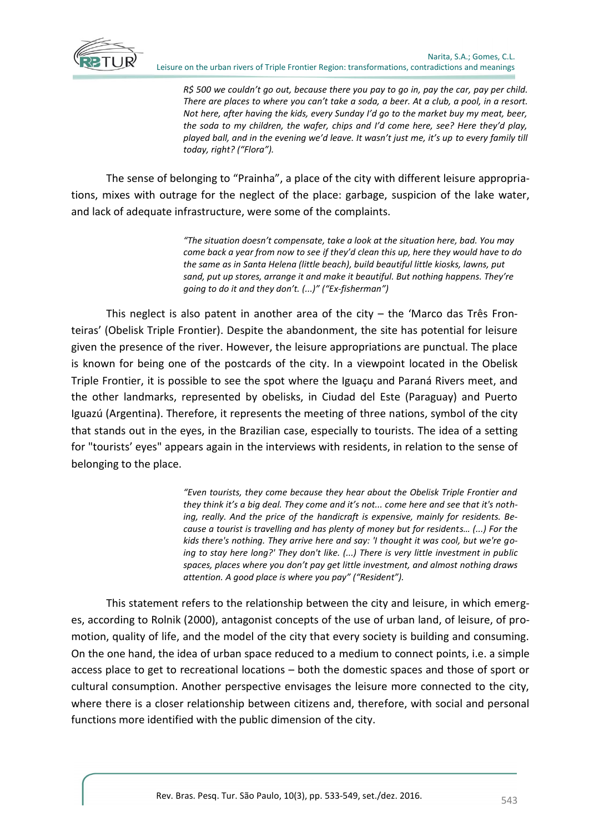

*R\$ 500 we couldn't go out, because there you pay to go in, pay the car, pay per child. There are places to where you can't take a soda, a beer. At a club, a pool, in a resort. Not here, after having the kids, every Sunday I'd go to the market buy my meat, beer, the soda to my children, the wafer, chips and I'd come here, see? Here they'd play, played ball, and in the evening we'd leave. It wasn't just me, it's up to every family till today, right? ("Flora").*

The sense of belonging to "Prainha", a place of the city with different leisure appropriations, mixes with outrage for the neglect of the place: garbage, suspicion of the lake water, and lack of adequate infrastructure, were some of the complaints.

> *"The situation doesn't compensate, take a look at the situation here, bad. You may come back a year from now to see if they'd clean this up, here they would have to do the same as in Santa Helena (little beach), build beautiful little kiosks, lawns, put sand, put up stores, arrange it and make it beautiful. But nothing happens. They're going to do it and they don't. (...)" ("Ex-fisherman")*

This neglect is also patent in another area of the city  $-$  the 'Marco das Três Fronteiras' (Obelisk Triple Frontier). Despite the abandonment, the site has potential for leisure given the presence of the river. However, the leisure appropriations are punctual. The place is known for being one of the postcards of the city. In a viewpoint located in the Obelisk Triple Frontier, it is possible to see the spot where the Iguaçu and Paraná Rivers meet, and the other landmarks, represented by obelisks, in Ciudad del Este (Paraguay) and Puerto Iguazú (Argentina). Therefore, it represents the meeting of three nations, symbol of the city that stands out in the eyes, in the Brazilian case, especially to tourists. The idea of a setting for "tourists' eyes" appears again in the interviews with residents, in relation to the sense of belonging to the place.

> *"Even tourists, they come because they hear about the Obelisk Triple Frontier and they think it's a big deal. They come and it's not... come here and see that it's nothing, really. And the price of the handicraft is expensive, mainly for residents. Because a tourist is travelling and has plenty of money but for residents… (...) For the kids there's nothing. They arrive here and say: 'I thought it was cool, but we're going to stay here long?' They don't like. (...) There is very little investment in public spaces, places where you don't pay get little investment, and almost nothing draws attention. A good place is where you pay" ("Resident").*

This statement refers to the relationship between the city and leisure, in which emerges, according to Rolnik (2000), antagonist concepts of the use of urban land, of leisure, of promotion, quality of life, and the model of the city that every society is building and consuming. On the one hand, the idea of urban space reduced to a medium to connect points, i.e. a simple access place to get to recreational locations – both the domestic spaces and those of sport or cultural consumption. Another perspective envisages the leisure more connected to the city, where there is a closer relationship between citizens and, therefore, with social and personal functions more identified with the public dimension of the city.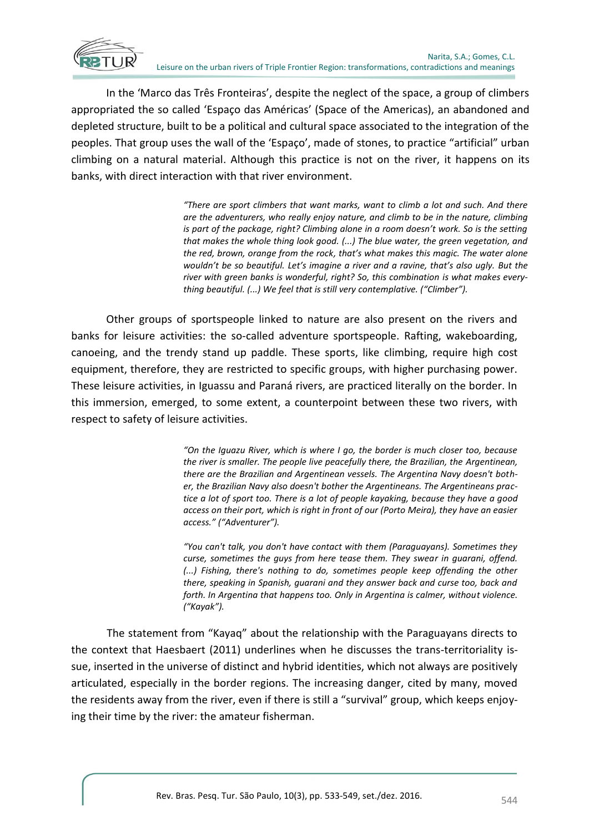

In the 'Marco das Três Fronteiras', despite the neglect of the space, a group of climbers appropriated the so called 'Espaço das Américas' (Space of the Americas), an abandoned and depleted structure, built to be a political and cultural space associated to the integration of the peoples. That group uses the wall of the 'Espaço', made of stones, to practice "artificial" urban climbing on a natural material. Although this practice is not on the river, it happens on its banks, with direct interaction with that river environment.

> *"There are sport climbers that want marks, want to climb a lot and such. And there are the adventurers, who really enjoy nature, and climb to be in the nature, climbing is part of the package, right? Climbing alone in a room doesn't work. So is the setting that makes the whole thing look good. (...) The blue water, the green vegetation, and the red, brown, orange from the rock, that's what makes this magic. The water alone wouldn't be so beautiful. Let's imagine a river and a ravine, that's also ugly. But the* river with green banks is wonderful, right? So, this combination is what makes every*thing beautiful. (...) We feel that is still very contemplative. ("Climber").*

Other groups of sportspeople linked to nature are also present on the rivers and banks for leisure activities: the so-called adventure sportspeople. Rafting, wakeboarding, canoeing, and the trendy stand up paddle. These sports, like climbing, require high cost equipment, therefore, they are restricted to specific groups, with higher purchasing power. These leisure activities, in Iguassu and Paraná rivers, are practiced literally on the border. In this immersion, emerged, to some extent, a counterpoint between these two rivers, with respect to safety of leisure activities.

> *"On the Iguazu River, which is where I go, the border is much closer too, because the river is smaller. The people live peacefully there, the Brazilian, the Argentinean, there are the Brazilian and Argentinean vessels. The Argentina Navy doesn't bother, the Brazilian Navy also doesn't bother the Argentineans. The Argentineans practice a lot of sport too. There is a lot of people kayaking, because they have a good access on their port, which is right in front of our (Porto Meira), they have an easier access." ("Adventurer").*

> *"You can't talk, you don't have contact with them (Paraguayans). Sometimes they curse, sometimes the guys from here tease them. They swear in guarani, offend. (...) Fishing, there's nothing to do, sometimes people keep offending the other there, speaking in Spanish, guarani and they answer back and curse too, back and forth. In Argentina that happens too. Only in Argentina is calmer, without violence. ("Kayak").*

The statement from "Kayaq" about the relationship with the Paraguayans directs to the context that Haesbaert (2011) underlines when he discusses the trans-territoriality issue, inserted in the universe of distinct and hybrid identities, which not always are positively articulated, especially in the border regions. The increasing danger, cited by many, moved the residents away from the river, even if there is still a "survival" group, which keeps enjoying their time by the river: the amateur fisherman.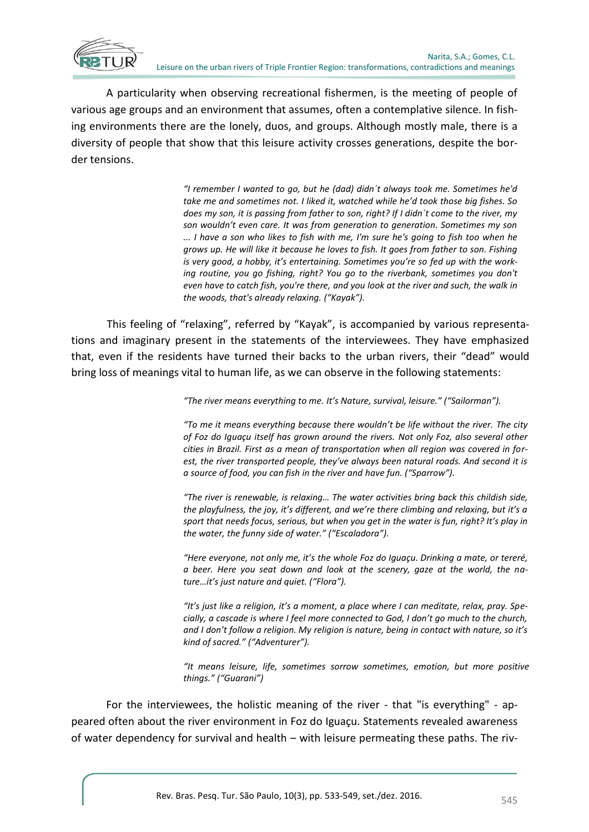

A particularity when observing recreational fishermen, is the meeting of people of various age groups and an environment that assumes, often a contemplative silence. In fishing environments there are the lonely, duos, and groups. Although mostly male, there is a diversity of people that show that this leisure activity crosses generations, despite the border tensions.

> *"I remember I wanted to go, but he (dad) didn´t always took me. Sometimes he'd take me and sometimes not. I liked it, watched while he'd took those big fishes. So does my son, it is passing from father to son, right? If I didn´t come to the river, my son wouldn't even care. It was from generation to generation. Sometimes my son ... I have a son who likes to fish with me, I'm sure he's going to fish too when he grows up. He will like it because he loves to fish. It goes from father to son. Fishing is very good, a hobby, it's entertaining. Sometimes you're so fed up with the working routine, you go fishing, right? You go to the riverbank, sometimes you don't even have to catch fish, you're there, and you look at the river and such, the walk in the woods, that's already relaxing. ("Kayak").*

This feeling of "relaxing", referred by "Kayak", is accompanied by various representations and imaginary present in the statements of the interviewees. They have emphasized that, even if the residents have turned their backs to the urban rivers, their "dead" would bring loss of meanings vital to human life, as we can observe in the following statements:

*"The river means everything to me. It's Nature, survival, leisure." ("Sailorman").*

*"To me it means everything because there wouldn't be life without the river. The city of Foz do Iguaçu itself has grown around the rivers. Not only Foz, also several other cities in Brazil. First as a mean of transportation when all region was covered in forest, the river transported people, they've always been natural roads. And second it is a source of food, you can fish in the river and have fun. ("Sparrow").*

*"The river is renewable, is relaxing… The water activities bring back this childish side, the playfulness, the joy, it's different, and we're there climbing and relaxing, but it's a sport that needs focus, serious, but when you get in the water is fun, right? It's play in the water, the funny side of water." ("Escaladora").* 

*"Here everyone, not only me, it's the whole Foz do Iguaçu. Drinking a mate, or tereré, a beer. Here you seat down and look at the scenery, gaze at the world, the nature…it's just nature and quiet. ("Flora").*

*"It's just like a religion, it's a moment, a place where I can meditate, relax, pray. Specially, a cascade is where I feel more connected to God, I don't go much to the church, and I don't follow a religion. My religion is nature, being in contact with nature, so it's kind of sacred." ("Adventurer").*

*"It means leisure, life, sometimes sorrow sometimes, emotion, but more positive things." ("Guarani")*

For the interviewees, the holistic meaning of the river - that "is everything" - appeared often about the river environment in Foz do Iguaçu. Statements revealed awareness of water dependency for survival and health – with leisure permeating these paths. The riv-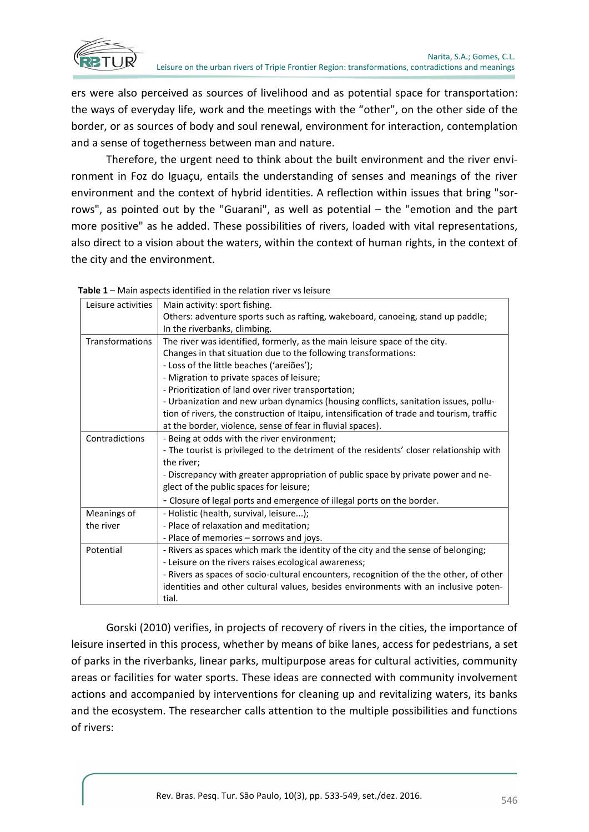

ers were also perceived as sources of livelihood and as potential space for transportation: the ways of everyday life, work and the meetings with the "other", on the other side of the border, or as sources of body and soul renewal, environment for interaction, contemplation and a sense of togetherness between man and nature.

Therefore, the urgent need to think about the built environment and the river environment in Foz do Iguaçu, entails the understanding of senses and meanings of the river environment and the context of hybrid identities. A reflection within issues that bring "sorrows", as pointed out by the "Guarani", as well as potential – the "emotion and the part more positive" as he added. These possibilities of rivers, loaded with vital representations, also direct to a vision about the waters, within the context of human rights, in the context of the city and the environment.

| Leisure activities | Main activity: sport fishing.                                                             |  |  |  |  |  |
|--------------------|-------------------------------------------------------------------------------------------|--|--|--|--|--|
|                    | Others: adventure sports such as rafting, wakeboard, canoeing, stand up paddle;           |  |  |  |  |  |
|                    | In the riverbanks, climbing.                                                              |  |  |  |  |  |
| Transformations    | The river was identified, formerly, as the main leisure space of the city.                |  |  |  |  |  |
|                    | Changes in that situation due to the following transformations:                           |  |  |  |  |  |
|                    | - Loss of the little beaches ('areiões');                                                 |  |  |  |  |  |
|                    | - Migration to private spaces of leisure;                                                 |  |  |  |  |  |
|                    | - Prioritization of land over river transportation;                                       |  |  |  |  |  |
|                    | - Urbanization and new urban dynamics (housing conflicts, sanitation issues, pollu-       |  |  |  |  |  |
|                    | tion of rivers, the construction of Itaipu, intensification of trade and tourism, traffic |  |  |  |  |  |
|                    | at the border, violence, sense of fear in fluvial spaces).                                |  |  |  |  |  |
| Contradictions     | - Being at odds with the river environment;                                               |  |  |  |  |  |
|                    | - The tourist is privileged to the detriment of the residents' closer relationship with   |  |  |  |  |  |
|                    | the river;                                                                                |  |  |  |  |  |
|                    | - Discrepancy with greater appropriation of public space by private power and ne-         |  |  |  |  |  |
|                    | glect of the public spaces for leisure;                                                   |  |  |  |  |  |
|                    | - Closure of legal ports and emergence of illegal ports on the border.                    |  |  |  |  |  |
| Meanings of        | - Holistic (health, survival, leisure);                                                   |  |  |  |  |  |
| the river          | - Place of relaxation and meditation;                                                     |  |  |  |  |  |
|                    | - Place of memories – sorrows and joys.                                                   |  |  |  |  |  |
| Potential          | - Rivers as spaces which mark the identity of the city and the sense of belonging;        |  |  |  |  |  |
|                    | - Leisure on the rivers raises ecological awareness;                                      |  |  |  |  |  |
|                    | - Rivers as spaces of socio-cultural encounters, recognition of the the other, of other   |  |  |  |  |  |
|                    | identities and other cultural values, besides environments with an inclusive poten-       |  |  |  |  |  |
|                    | tial.                                                                                     |  |  |  |  |  |

**Table 1** – Main aspects identified in the relation river vs leisure

Gorski (2010) verifies, in projects of recovery of rivers in the cities, the importance of leisure inserted in this process, whether by means of bike lanes, access for pedestrians, a set of parks in the riverbanks, linear parks, multipurpose areas for cultural activities, community areas or facilities for water sports. These ideas are connected with community involvement actions and accompanied by interventions for cleaning up and revitalizing waters, its banks and the ecosystem. The researcher calls attention to the multiple possibilities and functions of rivers: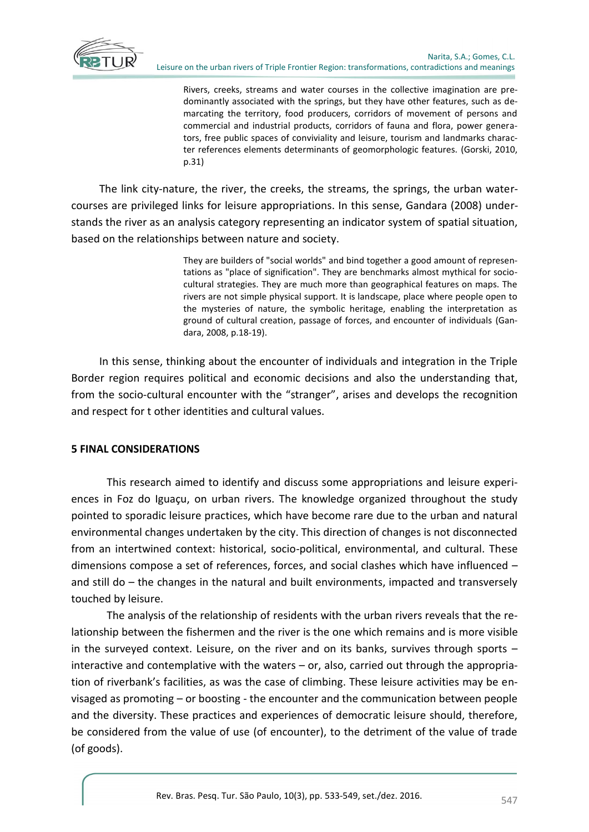

Rivers, creeks, streams and water courses in the collective imagination are predominantly associated with the springs, but they have other features, such as demarcating the territory, food producers, corridors of movement of persons and commercial and industrial products, corridors of fauna and flora, power generators, free public spaces of conviviality and leisure, tourism and landmarks character references elements determinants of geomorphologic features. (Gorski, 2010, p.31)

The link city-nature, the river, the creeks, the streams, the springs, the urban watercourses are privileged links for leisure appropriations. In this sense, Gandara (2008) understands the river as an analysis category representing an indicator system of spatial situation, based on the relationships between nature and society.

> They are builders of "social worlds" and bind together a good amount of representations as "place of signification". They are benchmarks almost mythical for sociocultural strategies. They are much more than geographical features on maps. The rivers are not simple physical support. It is landscape, place where people open to the mysteries of nature, the symbolic heritage, enabling the interpretation as ground of cultural creation, passage of forces, and encounter of individuals (Gandara, 2008, p.18-19).

In this sense, thinking about the encounter of individuals and integration in the Triple Border region requires political and economic decisions and also the understanding that, from the socio-cultural encounter with the "stranger", arises and develops the recognition and respect for t other identities and cultural values.

### **5 FINAL CONSIDERATIONS**

This research aimed to identify and discuss some appropriations and leisure experiences in Foz do Iguaçu, on urban rivers. The knowledge organized throughout the study pointed to sporadic leisure practices, which have become rare due to the urban and natural environmental changes undertaken by the city. This direction of changes is not disconnected from an intertwined context: historical, socio-political, environmental, and cultural. These dimensions compose a set of references, forces, and social clashes which have influenced – and still do – the changes in the natural and built environments, impacted and transversely touched by leisure.

The analysis of the relationship of residents with the urban rivers reveals that the relationship between the fishermen and the river is the one which remains and is more visible in the surveyed context. Leisure, on the river and on its banks, survives through sports – interactive and contemplative with the waters – or, also, carried out through the appropriation of riverbank's facilities, as was the case of climbing. These leisure activities may be envisaged as promoting – or boosting - the encounter and the communication between people and the diversity. These practices and experiences of democratic leisure should, therefore, be considered from the value of use (of encounter), to the detriment of the value of trade (of goods).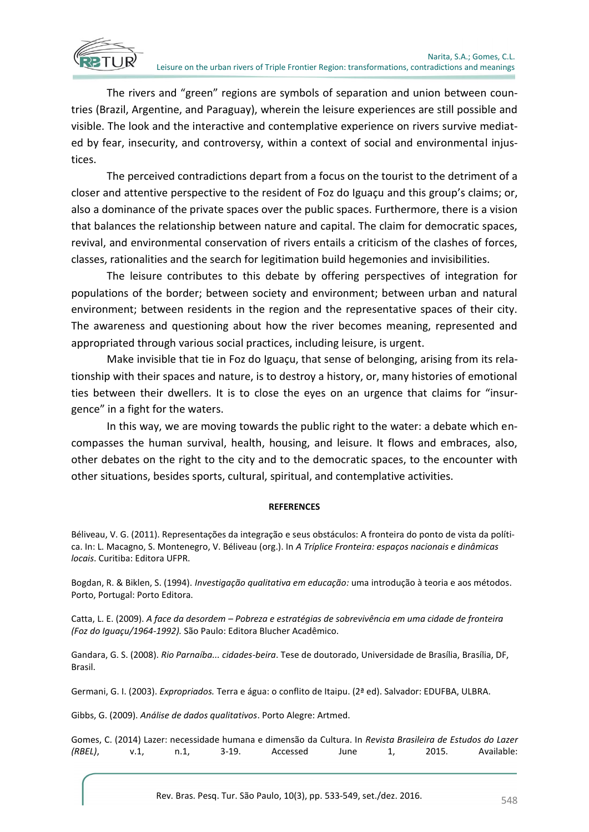The rivers and "green" regions are symbols of separation and union between countries (Brazil, Argentine, and Paraguay), wherein the leisure experiences are still possible and visible. The look and the interactive and contemplative experience on rivers survive mediated by fear, insecurity, and controversy, within a context of social and environmental injustices.

The perceived contradictions depart from a focus on the tourist to the detriment of a closer and attentive perspective to the resident of Foz do Iguaçu and this group's claims; or, also a dominance of the private spaces over the public spaces. Furthermore, there is a vision that balances the relationship between nature and capital. The claim for democratic spaces, revival, and environmental conservation of rivers entails a criticism of the clashes of forces, classes, rationalities and the search for legitimation build hegemonies and invisibilities.

The leisure contributes to this debate by offering perspectives of integration for populations of the border; between society and environment; between urban and natural environment; between residents in the region and the representative spaces of their city. The awareness and questioning about how the river becomes meaning, represented and appropriated through various social practices, including leisure, is urgent.

Make invisible that tie in Foz do Iguaçu, that sense of belonging, arising from its relationship with their spaces and nature, is to destroy a history, or, many histories of emotional ties between their dwellers. It is to close the eyes on an urgence that claims for "insurgence" in a fight for the waters.

In this way, we are moving towards the public right to the water: a debate which encompasses the human survival, health, housing, and leisure. It flows and embraces, also, other debates on the right to the city and to the democratic spaces, to the encounter with other situations, besides sports, cultural, spiritual, and contemplative activities.

#### **REFERENCES**

Béliveau, V. G. (2011). Representações da integração e seus obstáculos: A fronteira do ponto de vista da política. In: L. Macagno, S. Montenegro, V. Béliveau (org.). In *A Tríplice Fronteira: espaços nacionais e dinâmicas locais*. Curitiba: Editora UFPR.

Bogdan, R. & Biklen, S. (1994). *Investigação qualitativa em educação:* uma introdução à teoria e aos métodos. Porto, Portugal: Porto Editora.

Catta, L. E. (2009). *A face da desordem – Pobreza e estratégias de sobrevivência em uma cidade de fronteira (Foz do Iguaçu/1964-1992).* São Paulo: Editora Blucher Acadêmico.

Gandara, G. S. (2008). *Rio Parnaíba... cidades-beira*. Tese de doutorado, Universidade de Brasília, Brasília, DF, Brasil.

Germani, G. I. (2003). *Expropriados.* Terra e água: o conflito de Itaipu. (2ª ed). Salvador: EDUFBA, ULBRA.

Gibbs, G. (2009). *Análise de dados qualitativos*. Porto Alegre: Artmed.

|         |      |      |       |          |      |       | Gomes, C. (2014) Lazer: necessidade humana e dimensão da Cultura. In Revista Brasileira de Estudos do Lazer |
|---------|------|------|-------|----------|------|-------|-------------------------------------------------------------------------------------------------------------|
| (RBEL), | v.1. | n.1. | 3-19. | Accessed | June | 2015. | Available:                                                                                                  |